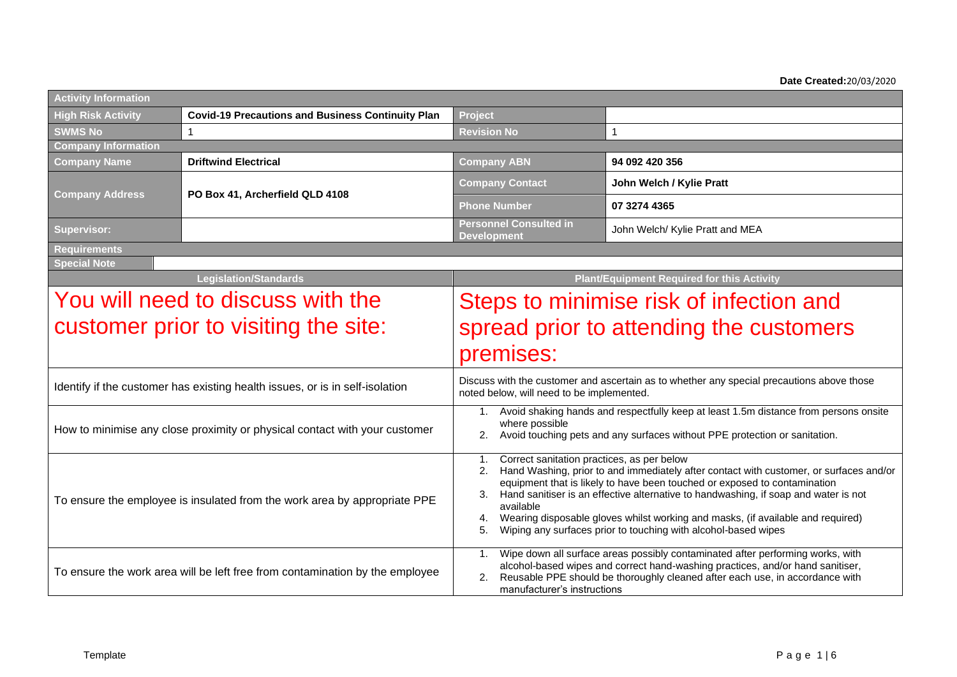**Date Created:**20/03/2020

| <b>Activity Information</b> |                                                                              |                                                                                                                                                                                                                                                                                                                                                                                                                                                                                                          |                                                                                                                                                                                                                                                  |  |  |  |  |
|-----------------------------|------------------------------------------------------------------------------|----------------------------------------------------------------------------------------------------------------------------------------------------------------------------------------------------------------------------------------------------------------------------------------------------------------------------------------------------------------------------------------------------------------------------------------------------------------------------------------------------------|--------------------------------------------------------------------------------------------------------------------------------------------------------------------------------------------------------------------------------------------------|--|--|--|--|
| <b>High Risk Activity</b>   | <b>Covid-19 Precautions and Business Continuity Plan</b>                     | Project                                                                                                                                                                                                                                                                                                                                                                                                                                                                                                  |                                                                                                                                                                                                                                                  |  |  |  |  |
| <b>SWMS No</b>              | $\overline{1}$                                                               | <b>Revision No</b>                                                                                                                                                                                                                                                                                                                                                                                                                                                                                       | 1                                                                                                                                                                                                                                                |  |  |  |  |
| <b>Company Information</b>  |                                                                              |                                                                                                                                                                                                                                                                                                                                                                                                                                                                                                          |                                                                                                                                                                                                                                                  |  |  |  |  |
| <b>Company Name</b>         | <b>Driftwind Electrical</b>                                                  | <b>Company ABN</b>                                                                                                                                                                                                                                                                                                                                                                                                                                                                                       | 94 092 420 356                                                                                                                                                                                                                                   |  |  |  |  |
| <b>Company Address</b>      | PO Box 41, Archerfield QLD 4108                                              | <b>Company Contact</b>                                                                                                                                                                                                                                                                                                                                                                                                                                                                                   | John Welch / Kylie Pratt                                                                                                                                                                                                                         |  |  |  |  |
|                             |                                                                              | <b>Phone Number</b>                                                                                                                                                                                                                                                                                                                                                                                                                                                                                      | 07 3274 4365                                                                                                                                                                                                                                     |  |  |  |  |
| <b>Supervisor:</b>          |                                                                              | <b>Personnel Consulted in</b><br><b>Development</b>                                                                                                                                                                                                                                                                                                                                                                                                                                                      | John Welch/ Kylie Pratt and MEA                                                                                                                                                                                                                  |  |  |  |  |
| <b>Requirements</b>         |                                                                              |                                                                                                                                                                                                                                                                                                                                                                                                                                                                                                          |                                                                                                                                                                                                                                                  |  |  |  |  |
| <b>Special Note</b>         |                                                                              |                                                                                                                                                                                                                                                                                                                                                                                                                                                                                                          |                                                                                                                                                                                                                                                  |  |  |  |  |
|                             | <b>Legislation/Standards</b>                                                 |                                                                                                                                                                                                                                                                                                                                                                                                                                                                                                          | <b>Plant/Equipment Required for this Activity</b>                                                                                                                                                                                                |  |  |  |  |
|                             | You will need to discuss with the                                            | Steps to minimise risk of infection and                                                                                                                                                                                                                                                                                                                                                                                                                                                                  |                                                                                                                                                                                                                                                  |  |  |  |  |
|                             | customer prior to visiting the site:                                         | spread prior to attending the customers                                                                                                                                                                                                                                                                                                                                                                                                                                                                  |                                                                                                                                                                                                                                                  |  |  |  |  |
|                             |                                                                              | premises:                                                                                                                                                                                                                                                                                                                                                                                                                                                                                                |                                                                                                                                                                                                                                                  |  |  |  |  |
|                             | Identify if the customer has existing health issues, or is in self-isolation | Discuss with the customer and ascertain as to whether any special precautions above those<br>noted below, will need to be implemented.                                                                                                                                                                                                                                                                                                                                                                   |                                                                                                                                                                                                                                                  |  |  |  |  |
|                             | How to minimise any close proximity or physical contact with your customer   | Avoid shaking hands and respectfully keep at least 1.5m distance from persons onsite<br>1.<br>where possible<br>Avoid touching pets and any surfaces without PPE protection or sanitation.                                                                                                                                                                                                                                                                                                               |                                                                                                                                                                                                                                                  |  |  |  |  |
|                             | To ensure the employee is insulated from the work area by appropriate PPE    | Correct sanitation practices, as per below<br>1.<br>Hand Washing, prior to and immediately after contact with customer, or surfaces and/or<br>2.<br>equipment that is likely to have been touched or exposed to contamination<br>Hand sanitiser is an effective alternative to handwashing, if soap and water is not<br>3.<br>available<br>Wearing disposable gloves whilst working and masks, (if available and required)<br>4.<br>Wiping any surfaces prior to touching with alcohol-based wipes<br>5. |                                                                                                                                                                                                                                                  |  |  |  |  |
|                             | To ensure the work area will be left free from contamination by the employee | $1_{\cdot}$<br>2.<br>manufacturer's instructions                                                                                                                                                                                                                                                                                                                                                                                                                                                         | Wipe down all surface areas possibly contaminated after performing works, with<br>alcohol-based wipes and correct hand-washing practices, and/or hand sanitiser,<br>Reusable PPE should be thoroughly cleaned after each use, in accordance with |  |  |  |  |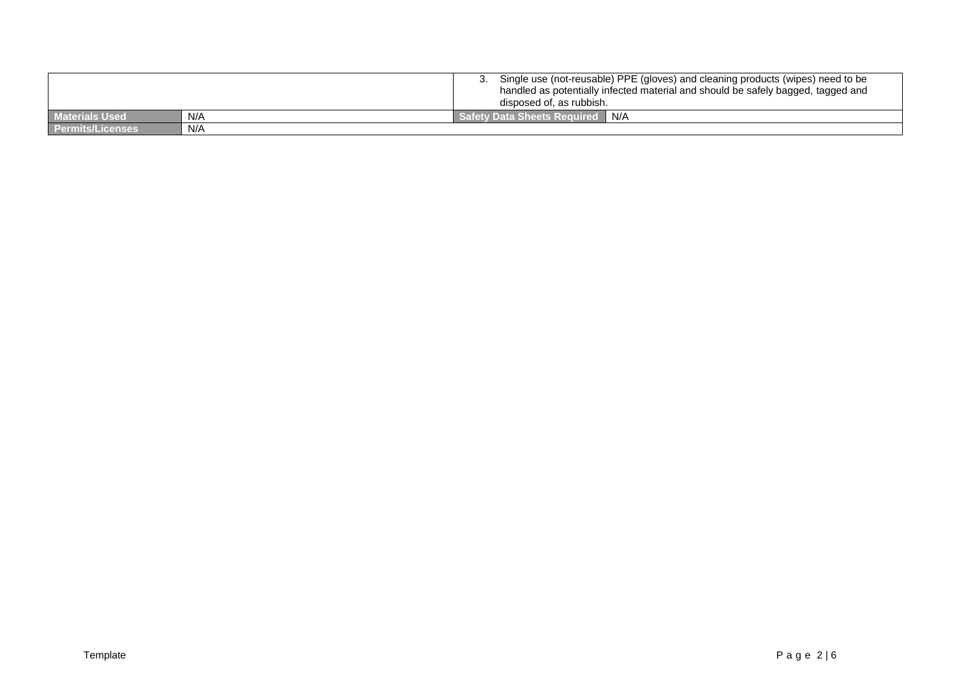|                         |     | Single use (not-reusable) PPE (gloves) and cleaning products (wipes) need to be<br>handled as potentially infected material and should be safely bagged, tagged and<br>disposed of, as rubbish. |
|-------------------------|-----|-------------------------------------------------------------------------------------------------------------------------------------------------------------------------------------------------|
| <b>Materials Used</b>   | N/A | I N/A<br><b>Safety Data Sheets Required</b>                                                                                                                                                     |
| <b>Permits/Licenses</b> | N/A |                                                                                                                                                                                                 |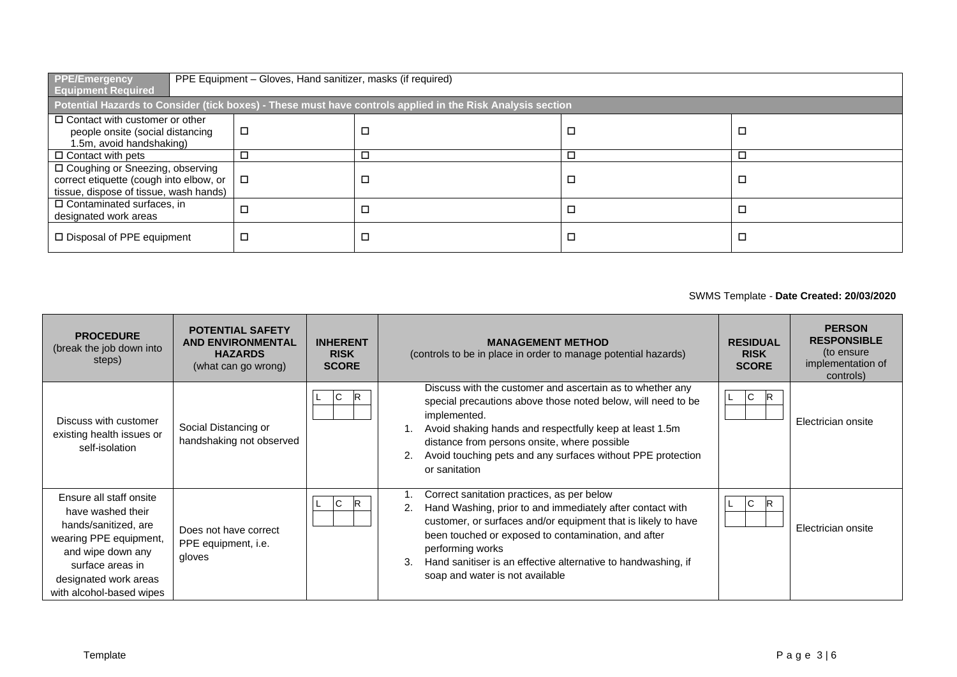| <b>PPE/Emergency</b><br>PPE Equipment - Gloves, Hand sanitizer, masks (if required)<br><b>Equipment Required</b>       |        |                                                                                                            |  |   |  |  |  |
|------------------------------------------------------------------------------------------------------------------------|--------|------------------------------------------------------------------------------------------------------------|--|---|--|--|--|
|                                                                                                                        |        | Potential Hazards to Consider (tick boxes) - These must have controls applied in the Risk Analysis section |  |   |  |  |  |
| $\Box$ Contact with customer or other<br>people onsite (social distancing<br>1.5m, avoid handshaking)                  | □      |                                                                                                            |  | □ |  |  |  |
| $\Box$ Contact with pets                                                                                               | □      |                                                                                                            |  | □ |  |  |  |
| □ Coughing or Sneezing, observing<br>correct etiquette (cough into elbow, or<br>tissue, dispose of tissue, wash hands) | $\Box$ |                                                                                                            |  | □ |  |  |  |
| $\Box$ Contaminated surfaces, in<br>designated work areas                                                              | □      |                                                                                                            |  | □ |  |  |  |
| □ Disposal of PPE equipment                                                                                            | □      |                                                                                                            |  | □ |  |  |  |

## SWMS Template - **Date Created: 20/03/2020**

| <b>PROCEDURE</b><br>(break the job down into<br>steps)                                                                                                                                       | <b>POTENTIAL SAFETY</b><br><b>AND ENVIRONMENTAL</b><br><b>HAZARDS</b><br>(what can go wrong) | <b>INHERENT</b><br><b>RISK</b><br><b>SCORE</b> | <b>MANAGEMENT METHOD</b><br>(controls to be in place in order to manage potential hazards)                                                                                                                                                                                                                                                                    | <b>RESIDUAL</b><br><b>RISK</b><br><b>SCORE</b> | <b>PERSON</b><br><b>RESPONSIBLE</b><br>(to ensure<br>implementation of<br>controls) |
|----------------------------------------------------------------------------------------------------------------------------------------------------------------------------------------------|----------------------------------------------------------------------------------------------|------------------------------------------------|---------------------------------------------------------------------------------------------------------------------------------------------------------------------------------------------------------------------------------------------------------------------------------------------------------------------------------------------------------------|------------------------------------------------|-------------------------------------------------------------------------------------|
| Discuss with customer<br>existing health issues or<br>self-isolation                                                                                                                         | Social Distancing or<br>handshaking not observed                                             | R<br>IC.                                       | Discuss with the customer and ascertain as to whether any<br>special precautions above those noted below, will need to be<br>implemented.<br>Avoid shaking hands and respectfully keep at least 1.5m<br>distance from persons onsite, where possible<br>Avoid touching pets and any surfaces without PPE protection<br>or sanitation                          | $\mathsf{C}$<br>R                              | Electrician onsite                                                                  |
| Ensure all staff onsite<br>have washed their<br>hands/sanitized, are<br>wearing PPE equipment,<br>and wipe down any<br>surface areas in<br>designated work areas<br>with alcohol-based wipes | Does not have correct<br>PPE equipment, i.e.<br>gloves                                       | $\mathbb{R}$<br>$\overline{C}$                 | Correct sanitation practices, as per below<br>Hand Washing, prior to and immediately after contact with<br>customer, or surfaces and/or equipment that is likely to have<br>been touched or exposed to contamination, and after<br>performing works<br>Hand sanitiser is an effective alternative to handwashing, if<br>3.<br>soap and water is not available | $\overline{C}$<br>IR.                          | Electrician onsite                                                                  |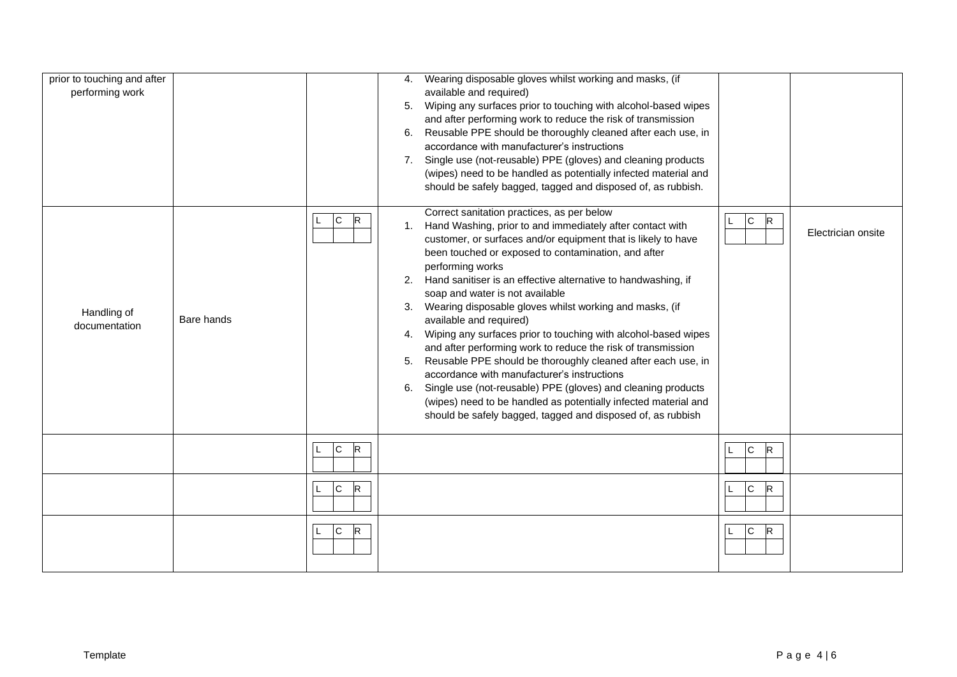| prior to touching and after<br>performing work |            |                     | 5.<br>6.                   | 4. Wearing disposable gloves whilst working and masks, (if<br>available and required)<br>Wiping any surfaces prior to touching with alcohol-based wipes<br>and after performing work to reduce the risk of transmission<br>Reusable PPE should be thoroughly cleaned after each use, in<br>accordance with manufacturer's instructions<br>7. Single use (not-reusable) PPE (gloves) and cleaning products<br>(wipes) need to be handled as potentially infected material and<br>should be safely bagged, tagged and disposed of, as rubbish.                                                                                                                                                                                                                                                                                                                                                        |                              |                    |
|------------------------------------------------|------------|---------------------|----------------------------|-----------------------------------------------------------------------------------------------------------------------------------------------------------------------------------------------------------------------------------------------------------------------------------------------------------------------------------------------------------------------------------------------------------------------------------------------------------------------------------------------------------------------------------------------------------------------------------------------------------------------------------------------------------------------------------------------------------------------------------------------------------------------------------------------------------------------------------------------------------------------------------------------------|------------------------------|--------------------|
| Handling of<br>documentation                   | Bare hands | $\mathsf{C}$<br>lR. | 1.<br>2.<br>3.<br>5.<br>6. | Correct sanitation practices, as per below<br>Hand Washing, prior to and immediately after contact with<br>customer, or surfaces and/or equipment that is likely to have<br>been touched or exposed to contamination, and after<br>performing works<br>Hand sanitiser is an effective alternative to handwashing, if<br>soap and water is not available<br>Wearing disposable gloves whilst working and masks, (if<br>available and required)<br>4. Wiping any surfaces prior to touching with alcohol-based wipes<br>and after performing work to reduce the risk of transmission<br>Reusable PPE should be thoroughly cleaned after each use, in<br>accordance with manufacturer's instructions<br>Single use (not-reusable) PPE (gloves) and cleaning products<br>(wipes) need to be handled as potentially infected material and<br>should be safely bagged, tagged and disposed of, as rubbish | $\mathsf{C}$<br>$\mathsf{R}$ | Electrician onsite |
|                                                |            | R<br>$\overline{C}$ |                            |                                                                                                                                                                                                                                                                                                                                                                                                                                                                                                                                                                                                                                                                                                                                                                                                                                                                                                     | $\overline{C}$<br>R          |                    |
|                                                |            | $\mathsf{C}$<br>R   |                            |                                                                                                                                                                                                                                                                                                                                                                                                                                                                                                                                                                                                                                                                                                                                                                                                                                                                                                     | $\overline{C}$<br>R          |                    |
|                                                |            | c <br>R<br>L        |                            |                                                                                                                                                                                                                                                                                                                                                                                                                                                                                                                                                                                                                                                                                                                                                                                                                                                                                                     | c <br>$\mathsf R$            |                    |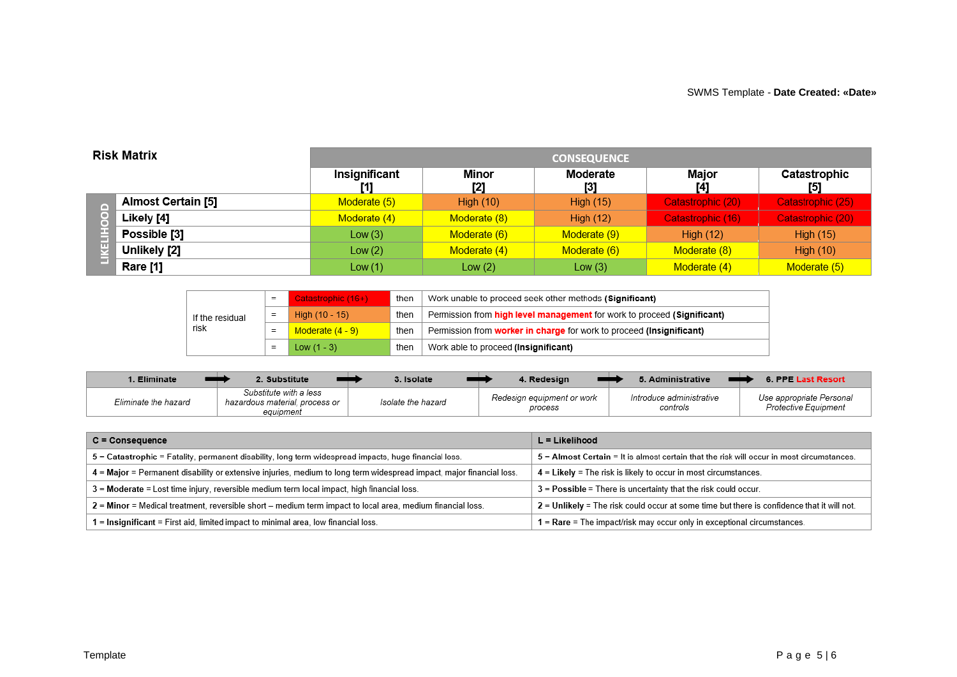| <b>Risk Matrix</b> |                    | <b>CONSEQUENCE</b>   |                  |                  |                   |                     |  |  |
|--------------------|--------------------|----------------------|------------------|------------------|-------------------|---------------------|--|--|
|                    |                    | Insignificant<br>[1] | Minor<br>[2]     | Moderate<br>[3]  | Major<br>[4]      | Catastrophic<br>[5] |  |  |
|                    | Almost Certain [5] | Moderate (5)         | <b>High (10)</b> | <b>High (15)</b> | Catastrophic (20) | Catastrophic (25)   |  |  |
|                    | Likely [4]         | Moderate (4)         | Moderate (8)     | High $(12)$      | Catastrophic (16) | Catastrophic (20)   |  |  |
|                    | Possible [3]       | Low $(3)$            | Moderate (6)     | Moderate (9)     | High $(12)$       | <b>High (15)</b>    |  |  |
|                    | Unlikely [2]       | Low $(2)$            | Moderate (4)     | Moderate (6)     | Moderate (8)      | High $(10)$         |  |  |
|                    | Rare [1]           | Low(1)               | Low $(2)$        | Low (3)          | Moderate (4)      | Moderate (5)        |  |  |

| If the residual<br>risk | Catastrophic (16+) | then                                                                            | Work unable to proceed seek other methods (Significant)              |
|-------------------------|--------------------|---------------------------------------------------------------------------------|----------------------------------------------------------------------|
|                         | High $(10 - 15)$   | Permission from high level management for work to proceed (Significant)<br>then |                                                                      |
|                         | Moderate $(4 - 9)$ | then                                                                            | Permission from worker in charge for work to proceed (Insignificant) |
|                         | Low $(1 - 3)$      | then                                                                            | Work able to proceed (Insignificant)                                 |

| . Eliminate          | . Substitute                                                          | . Isolate          | 4. Redesian                           | 5. Administrative                    | 6. PPE Last Resort                               |
|----------------------|-----------------------------------------------------------------------|--------------------|---------------------------------------|--------------------------------------|--------------------------------------------------|
| Eliminate the hazard | Substitute with a less<br>hazardous material, process or<br>equipment | Isolate the hazard | Redesign equipment or work<br>process | Introduce administrative<br>controls | Use appropriate Personal<br>Protective Equipment |

| $C =$ Consequence                                                                                                    | $L =$ Likelihood                                                                             |
|----------------------------------------------------------------------------------------------------------------------|----------------------------------------------------------------------------------------------|
| 5 = Catastrophic = Fatality, permanent disability, long term widespread impacts, huge financial loss.                | $5 =$ Almost Certain = It is almost certain that the risk will occur in most circumstances.  |
| 4 = Major = Permanent disability or extensive injuries, medium to long term widespread impact, major financial loss. | 4 = Likely = The risk is likely to occur in most circumstances.                              |
| 3 = Moderate = Lost time injury, reversible medium term local impact, high financial loss.                           | $3$ = Possible = There is uncertainty that the risk could occur.                             |
| 2 = Minor = Medical treatment, reversible short – medium term impact to local area, medium financial loss.           | $2$ = Unlikely = The risk could occur at some time but there is confidence that it will not. |
| 1 = Insignificant = First aid, limited impact to minimal area, low financial loss.                                   | $1 =$ Rare = The impact/risk may occur only in exceptional circumstances.                    |